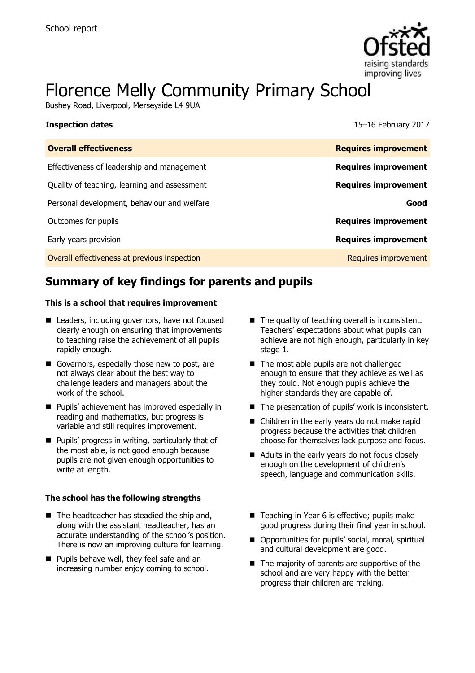**Inspection dates** 



# Florence Melly Community Primary School

Bushey Road, Liverpool, Merseyside L4 9UA

| 15-16 February 2017 |  |
|---------------------|--|
|                     |  |

| <b>Overall effectiveness</b>                 | <b>Requires improvement</b> |
|----------------------------------------------|-----------------------------|
| Effectiveness of leadership and management   | <b>Requires improvement</b> |
| Quality of teaching, learning and assessment | <b>Requires improvement</b> |
| Personal development, behaviour and welfare  | Good                        |
| Outcomes for pupils                          | <b>Requires improvement</b> |
| Early years provision                        | <b>Requires improvement</b> |
| Overall effectiveness at previous inspection | Requires improvement        |
|                                              |                             |

# **Summary of key findings for parents and pupils**

#### **This is a school that requires improvement**

- Leaders, including governors, have not focused clearly enough on ensuring that improvements to teaching raise the achievement of all pupils rapidly enough.
- Governors, especially those new to post, are not always clear about the best way to challenge leaders and managers about the work of the school.
- **Pupils' achievement has improved especially in** reading and mathematics, but progress is variable and still requires improvement.
- **Pupils' progress in writing, particularly that of** the most able, is not good enough because pupils are not given enough opportunities to write at length.

#### **The school has the following strengths**

- $\blacksquare$  The headteacher has steadied the ship and, along with the assistant headteacher, has an accurate understanding of the school's position. There is now an improving culture for learning.
- **Pupils behave well, they feel safe and an** increasing number enjoy coming to school.
- $\blacksquare$  The quality of teaching overall is inconsistent. Teachers' expectations about what pupils can achieve are not high enough, particularly in key stage 1.
- The most able pupils are not challenged enough to ensure that they achieve as well as they could. Not enough pupils achieve the higher standards they are capable of.
- The presentation of pupils' work is inconsistent.
- Children in the early years do not make rapid progress because the activities that children choose for themselves lack purpose and focus.
- Adults in the early years do not focus closely enough on the development of children's speech, language and communication skills.
- Teaching in Year 6 is effective; pupils make good progress during their final year in school.
- Opportunities for pupils' social, moral, spiritual and cultural development are good.
- $\blacksquare$  The majority of parents are supportive of the school and are very happy with the better progress their children are making.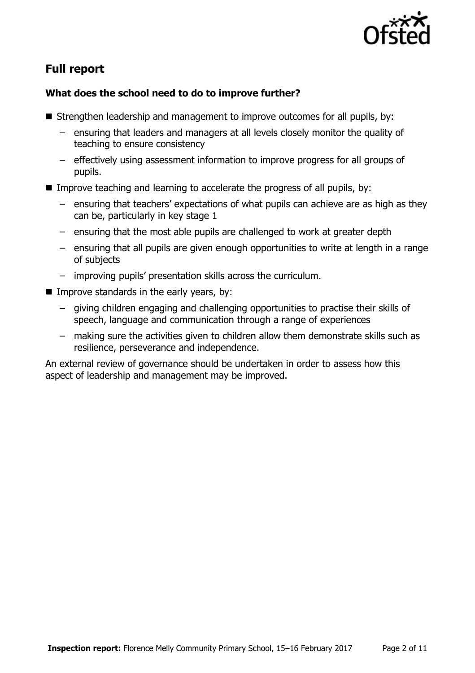

# **Full report**

### **What does the school need to do to improve further?**

- Strengthen leadership and management to improve outcomes for all pupils, by:
	- ensuring that leaders and managers at all levels closely monitor the quality of teaching to ensure consistency
	- effectively using assessment information to improve progress for all groups of pupils.
- Improve teaching and learning to accelerate the progress of all pupils, by:
	- ensuring that teachers' expectations of what pupils can achieve are as high as they can be, particularly in key stage 1
	- ensuring that the most able pupils are challenged to work at greater depth
	- ensuring that all pupils are given enough opportunities to write at length in a range of subjects
	- improving pupils' presentation skills across the curriculum.
- **IMPROPE STANDARD IN THE EXAM** YEARS, by:
	- giving children engaging and challenging opportunities to practise their skills of speech, language and communication through a range of experiences
	- making sure the activities given to children allow them demonstrate skills such as resilience, perseverance and independence.

An external review of governance should be undertaken in order to assess how this aspect of leadership and management may be improved.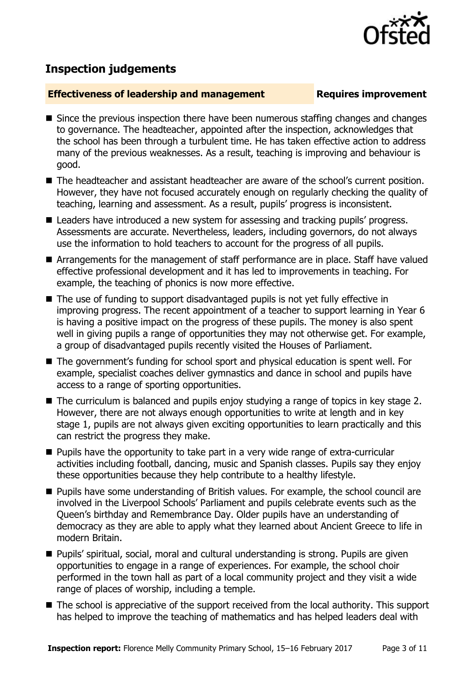

# **Inspection judgements**

#### **Effectiveness of leadership and management Requires improvement**

- Since the previous inspection there have been numerous staffing changes and changes to governance. The headteacher, appointed after the inspection, acknowledges that the school has been through a turbulent time. He has taken effective action to address many of the previous weaknesses. As a result, teaching is improving and behaviour is good.
- The headteacher and assistant headteacher are aware of the school's current position. However, they have not focused accurately enough on regularly checking the quality of teaching, learning and assessment. As a result, pupils' progress is inconsistent.
- Leaders have introduced a new system for assessing and tracking pupils' progress. Assessments are accurate. Nevertheless, leaders, including governors, do not always use the information to hold teachers to account for the progress of all pupils.
- Arrangements for the management of staff performance are in place. Staff have valued effective professional development and it has led to improvements in teaching. For example, the teaching of phonics is now more effective.
- The use of funding to support disadvantaged pupils is not yet fully effective in improving progress. The recent appointment of a teacher to support learning in Year 6 is having a positive impact on the progress of these pupils. The money is also spent well in giving pupils a range of opportunities they may not otherwise get. For example, a group of disadvantaged pupils recently visited the Houses of Parliament.
- The government's funding for school sport and physical education is spent well. For example, specialist coaches deliver gymnastics and dance in school and pupils have access to a range of sporting opportunities.
- The curriculum is balanced and pupils enjoy studying a range of topics in key stage 2. However, there are not always enough opportunities to write at length and in key stage 1, pupils are not always given exciting opportunities to learn practically and this can restrict the progress they make.
- **Pupils have the opportunity to take part in a very wide range of extra-curricular** activities including football, dancing, music and Spanish classes. Pupils say they enjoy these opportunities because they help contribute to a healthy lifestyle.
- **Pupils have some understanding of British values. For example, the school council are** involved in the Liverpool Schools' Parliament and pupils celebrate events such as the Queen's birthday and Remembrance Day. Older pupils have an understanding of democracy as they are able to apply what they learned about Ancient Greece to life in modern Britain.
- Pupils' spiritual, social, moral and cultural understanding is strong. Pupils are given opportunities to engage in a range of experiences. For example, the school choir performed in the town hall as part of a local community project and they visit a wide range of places of worship, including a temple.
- The school is appreciative of the support received from the local authority. This support has helped to improve the teaching of mathematics and has helped leaders deal with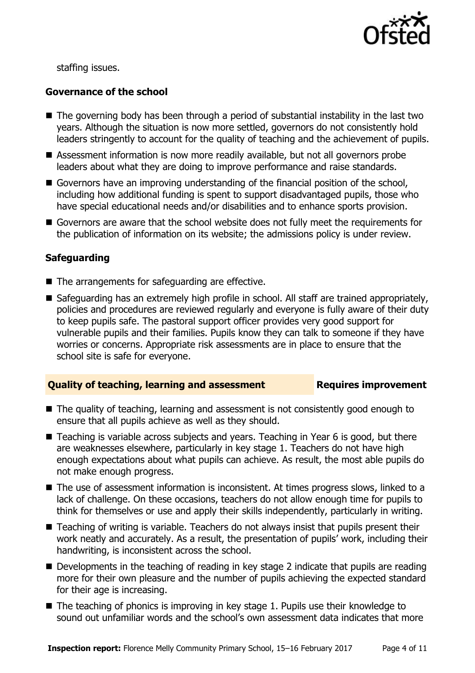

staffing issues.

#### **Governance of the school**

- The governing body has been through a period of substantial instability in the last two years. Although the situation is now more settled, governors do not consistently hold leaders stringently to account for the quality of teaching and the achievement of pupils.
- Assessment information is now more readily available, but not all governors probe leaders about what they are doing to improve performance and raise standards.
- Governors have an improving understanding of the financial position of the school, including how additional funding is spent to support disadvantaged pupils, those who have special educational needs and/or disabilities and to enhance sports provision.
- Governors are aware that the school website does not fully meet the requirements for the publication of information on its website; the admissions policy is under review.

#### **Safeguarding**

- The arrangements for safeguarding are effective.
- Safeguarding has an extremely high profile in school. All staff are trained appropriately, policies and procedures are reviewed regularly and everyone is fully aware of their duty to keep pupils safe. The pastoral support officer provides very good support for vulnerable pupils and their families. Pupils know they can talk to someone if they have worries or concerns. Appropriate risk assessments are in place to ensure that the school site is safe for everyone.

#### **Quality of teaching, learning and assessment Requires improvement**

- The quality of teaching, learning and assessment is not consistently good enough to ensure that all pupils achieve as well as they should.
- Teaching is variable across subjects and years. Teaching in Year 6 is good, but there are weaknesses elsewhere, particularly in key stage 1. Teachers do not have high enough expectations about what pupils can achieve. As result, the most able pupils do not make enough progress.
- The use of assessment information is inconsistent. At times progress slows, linked to a lack of challenge. On these occasions, teachers do not allow enough time for pupils to think for themselves or use and apply their skills independently, particularly in writing.
- Teaching of writing is variable. Teachers do not always insist that pupils present their work neatly and accurately. As a result, the presentation of pupils' work, including their handwriting, is inconsistent across the school.
- Developments in the teaching of reading in key stage 2 indicate that pupils are reading more for their own pleasure and the number of pupils achieving the expected standard for their age is increasing.
- $\blacksquare$  The teaching of phonics is improving in key stage 1. Pupils use their knowledge to sound out unfamiliar words and the school's own assessment data indicates that more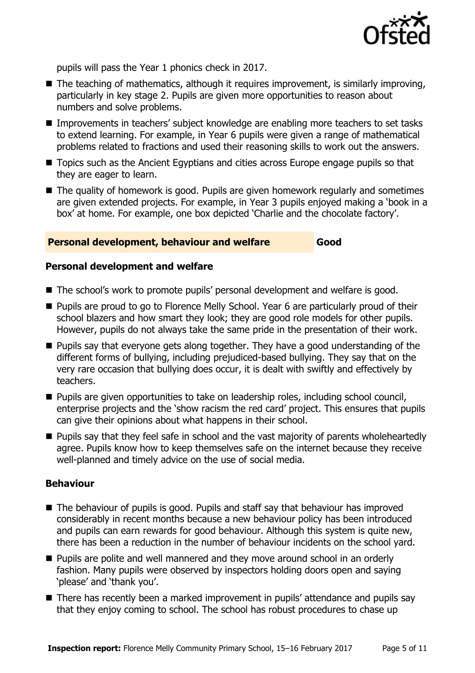

pupils will pass the Year 1 phonics check in 2017.

- $\blacksquare$  The teaching of mathematics, although it requires improvement, is similarly improving, particularly in key stage 2. Pupils are given more opportunities to reason about numbers and solve problems.
- Improvements in teachers' subject knowledge are enabling more teachers to set tasks to extend learning. For example, in Year 6 pupils were given a range of mathematical problems related to fractions and used their reasoning skills to work out the answers.
- Topics such as the Ancient Egyptians and cities across Europe engage pupils so that they are eager to learn.
- The quality of homework is good. Pupils are given homework regularly and sometimes are given extended projects. For example, in Year 3 pupils enjoyed making a 'book in a box' at home. For example, one box depicted 'Charlie and the chocolate factory'.

#### **Personal development, behaviour and welfare Good**

#### **Personal development and welfare**

- The school's work to promote pupils' personal development and welfare is good.
- **Pupils are proud to go to Florence Melly School. Year 6 are particularly proud of their** school blazers and how smart they look; they are good role models for other pupils. However, pupils do not always take the same pride in the presentation of their work.
- **Pupils say that everyone gets along together. They have a good understanding of the** different forms of bullying, including prejudiced-based bullying. They say that on the very rare occasion that bullying does occur, it is dealt with swiftly and effectively by teachers.
- **Pupils are given opportunities to take on leadership roles, including school council,** enterprise projects and the 'show racism the red card' project. This ensures that pupils can give their opinions about what happens in their school.
- **Pupils say that they feel safe in school and the vast majority of parents wholeheartedly** agree. Pupils know how to keep themselves safe on the internet because they receive well-planned and timely advice on the use of social media.

#### **Behaviour**

- The behaviour of pupils is good. Pupils and staff say that behaviour has improved considerably in recent months because a new behaviour policy has been introduced and pupils can earn rewards for good behaviour. Although this system is quite new, there has been a reduction in the number of behaviour incidents on the school yard.
- **Pupils are polite and well mannered and they move around school in an orderly** fashion. Many pupils were observed by inspectors holding doors open and saying 'please' and 'thank you'.
- There has recently been a marked improvement in pupils' attendance and pupils say that they enjoy coming to school. The school has robust procedures to chase up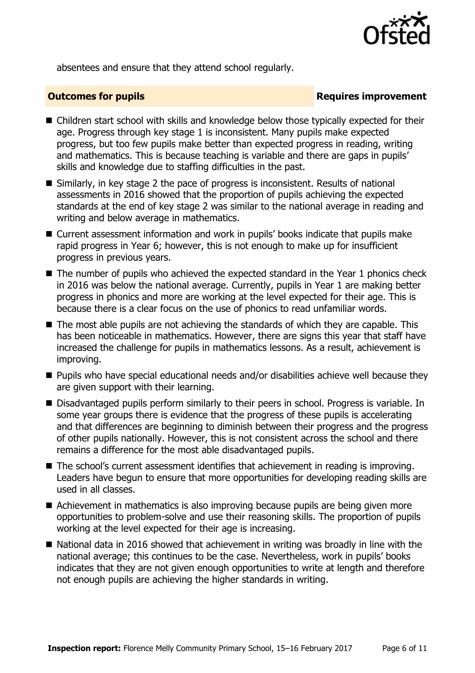

absentees and ensure that they attend school regularly.

### **Outcomes for pupils Requires improvement**

- Children start school with skills and knowledge below those typically expected for their age. Progress through key stage 1 is inconsistent. Many pupils make expected progress, but too few pupils make better than expected progress in reading, writing and mathematics. This is because teaching is variable and there are gaps in pupils' skills and knowledge due to staffing difficulties in the past.
- Similarly, in key stage 2 the pace of progress is inconsistent. Results of national assessments in 2016 showed that the proportion of pupils achieving the expected standards at the end of key stage 2 was similar to the national average in reading and writing and below average in mathematics.
- Current assessment information and work in pupils' books indicate that pupils make rapid progress in Year 6; however, this is not enough to make up for insufficient progress in previous years.
- The number of pupils who achieved the expected standard in the Year 1 phonics check in 2016 was below the national average. Currently, pupils in Year 1 are making better progress in phonics and more are working at the level expected for their age. This is because there is a clear focus on the use of phonics to read unfamiliar words.
- The most able pupils are not achieving the standards of which they are capable. This has been noticeable in mathematics. However, there are signs this year that staff have increased the challenge for pupils in mathematics lessons. As a result, achievement is improving.
- **Pupils who have special educational needs and/or disabilities achieve well because they** are given support with their learning.
- Disadvantaged pupils perform similarly to their peers in school. Progress is variable. In some year groups there is evidence that the progress of these pupils is accelerating and that differences are beginning to diminish between their progress and the progress of other pupils nationally. However, this is not consistent across the school and there remains a difference for the most able disadvantaged pupils.
- The school's current assessment identifies that achievement in reading is improving. Leaders have begun to ensure that more opportunities for developing reading skills are used in all classes.
- Achievement in mathematics is also improving because pupils are being given more opportunities to problem-solve and use their reasoning skills. The proportion of pupils working at the level expected for their age is increasing.
- National data in 2016 showed that achievement in writing was broadly in line with the national average; this continues to be the case. Nevertheless, work in pupils' books indicates that they are not given enough opportunities to write at length and therefore not enough pupils are achieving the higher standards in writing.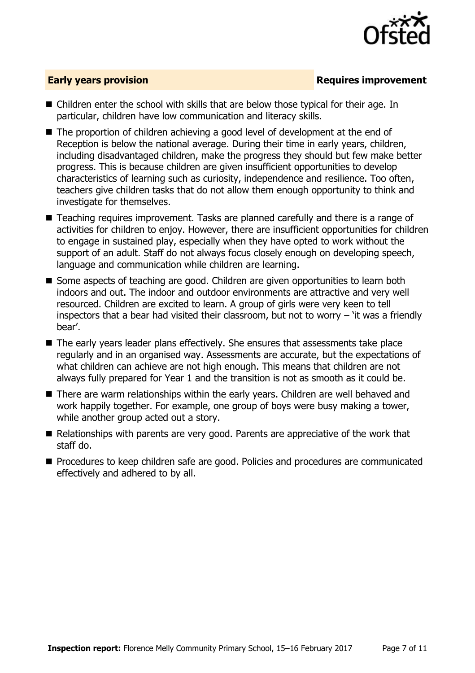

### **Early years provision**

- Children enter the school with skills that are below those typical for their age. In particular, children have low communication and literacy skills.
- The proportion of children achieving a good level of development at the end of Reception is below the national average. During their time in early years, children, including disadvantaged children, make the progress they should but few make better progress. This is because children are given insufficient opportunities to develop characteristics of learning such as curiosity, independence and resilience. Too often, teachers give children tasks that do not allow them enough opportunity to think and investigate for themselves.
- Teaching requires improvement. Tasks are planned carefully and there is a range of activities for children to enjoy. However, there are insufficient opportunities for children to engage in sustained play, especially when they have opted to work without the support of an adult. Staff do not always focus closely enough on developing speech, language and communication while children are learning.
- Some aspects of teaching are good. Children are given opportunities to learn both indoors and out. The indoor and outdoor environments are attractive and very well resourced. Children are excited to learn. A group of girls were very keen to tell inspectors that a bear had visited their classroom, but not to worry  $-$  'it was a friendly bear'.
- The early years leader plans effectively. She ensures that assessments take place regularly and in an organised way. Assessments are accurate, but the expectations of what children can achieve are not high enough. This means that children are not always fully prepared for Year 1 and the transition is not as smooth as it could be.
- There are warm relationships within the early years. Children are well behaved and work happily together. For example, one group of boys were busy making a tower, while another group acted out a story.
- $\blacksquare$  Relationships with parents are very good. Parents are appreciative of the work that staff do.
- **Procedures to keep children safe are good. Policies and procedures are communicated** effectively and adhered to by all.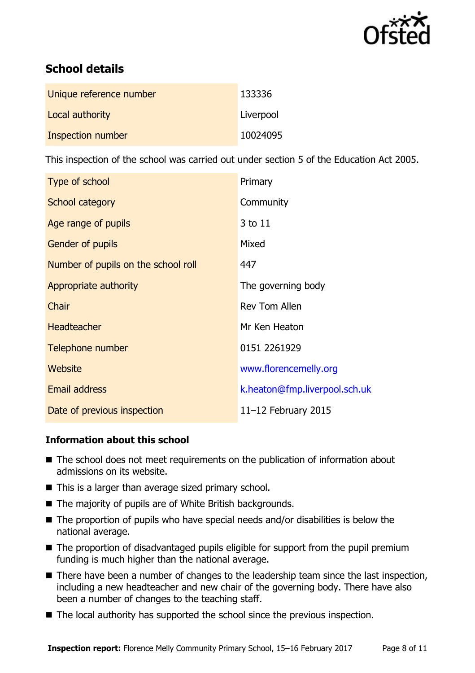

# **School details**

| Unique reference number | 133336    |
|-------------------------|-----------|
| Local authority         | Liverpool |
| Inspection number       | 10024095  |

This inspection of the school was carried out under section 5 of the Education Act 2005.

| Type of school                      | Primary                       |
|-------------------------------------|-------------------------------|
| School category                     | Community                     |
| Age range of pupils                 | 3 to 11                       |
| <b>Gender of pupils</b>             | Mixed                         |
| Number of pupils on the school roll | 447                           |
| Appropriate authority               | The governing body            |
| Chair                               | <b>Rev Tom Allen</b>          |
| <b>Headteacher</b>                  | Mr Ken Heaton                 |
| Telephone number                    | 0151 2261929                  |
| Website                             | www.florencemelly.org         |
| <b>Email address</b>                | k.heaton@fmp.liverpool.sch.uk |
| Date of previous inspection         | 11-12 February 2015           |

### **Information about this school**

- The school does not meet requirements on the publication of information about admissions on its website.
- This is a larger than average sized primary school.
- The majority of pupils are of White British backgrounds.
- $\blacksquare$  The proportion of pupils who have special needs and/or disabilities is below the national average.
- The proportion of disadvantaged pupils eligible for support from the pupil premium funding is much higher than the national average.
- There have been a number of changes to the leadership team since the last inspection, including a new headteacher and new chair of the governing body. There have also been a number of changes to the teaching staff.
- The local authority has supported the school since the previous inspection.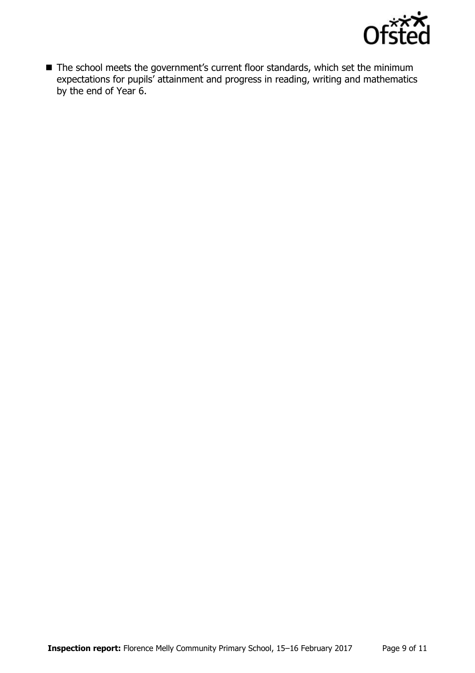

■ The school meets the government's current floor standards, which set the minimum expectations for pupils' attainment and progress in reading, writing and mathematics by the end of Year 6.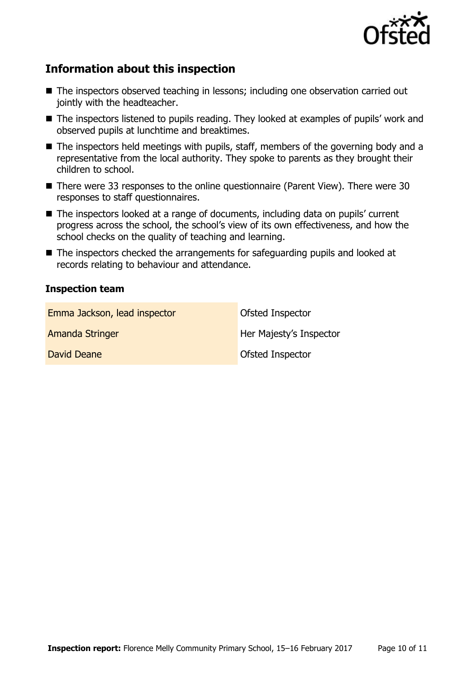

# **Information about this inspection**

- The inspectors observed teaching in lessons; including one observation carried out jointly with the headteacher.
- The inspectors listened to pupils reading. They looked at examples of pupils' work and observed pupils at lunchtime and breaktimes.
- The inspectors held meetings with pupils, staff, members of the governing body and a representative from the local authority. They spoke to parents as they brought their children to school.
- There were 33 responses to the online questionnaire (Parent View). There were 30 responses to staff questionnaires.
- The inspectors looked at a range of documents, including data on pupils' current progress across the school, the school's view of its own effectiveness, and how the school checks on the quality of teaching and learning.
- The inspectors checked the arrangements for safeguarding pupils and looked at records relating to behaviour and attendance.

#### **Inspection team**

| Emma Jackson, lead inspector | Ofsted Inspector        |
|------------------------------|-------------------------|
| <b>Amanda Stringer</b>       | Her Majesty's Inspector |
| David Deane                  | Ofsted Inspector        |